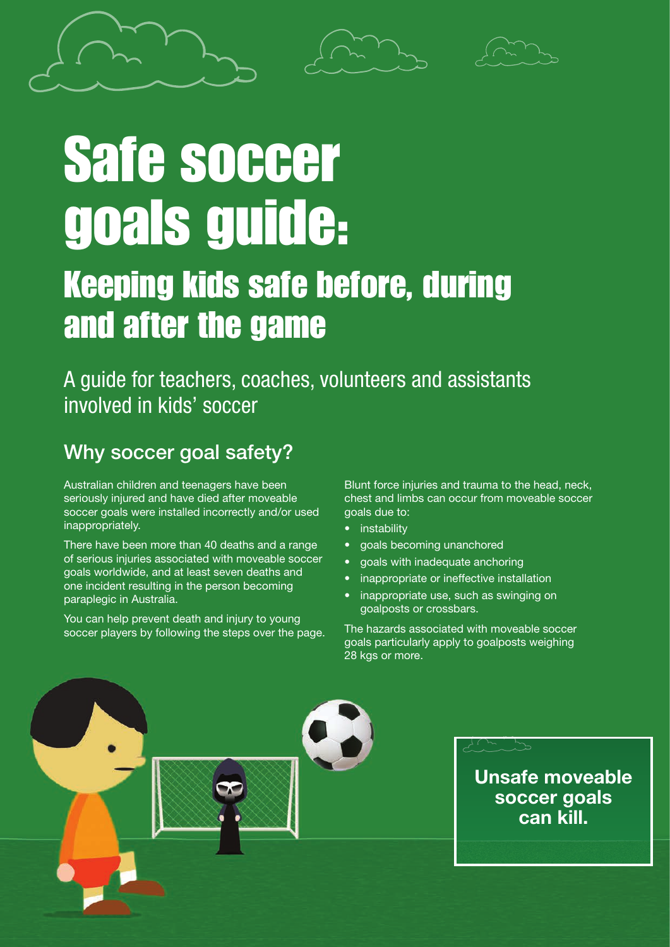

# Safe soccer goals guide:

# Keeping kids safe before, during and after the game

A guide for teachers, coaches, volunteers and assistants involved in kids' soccer

### Why soccer goal safety?

Australian children and teenagers have been seriously injured and have died after moveable soccer goals were installed incorrectly and/or used inappropriately.

There have been more than 40 deaths and a range of serious injuries associated with moveable soccer goals worldwide, and at least seven deaths and one incident resulting in the person becoming paraplegic in Australia.

You can help prevent death and injury to young soccer players by following the steps over the page. Blunt force injuries and trauma to the head, neck, chest and limbs can occur from moveable soccer goals due to:

- instability
- goals becoming unanchored
- goals with inadequate anchoring
- inappropriate or ineffective installation
- inappropriate use, such as swinging on goalposts or crossbars.

The hazards associated with moveable soccer goals particularly apply to goalposts weighing 28 kgs or more.

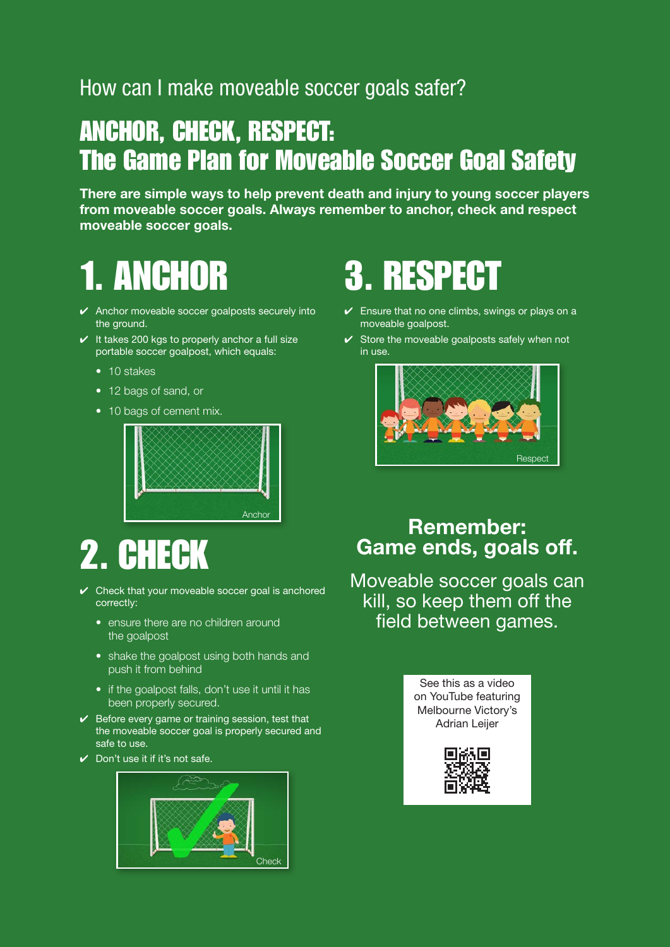### How can I make moveable soccer goals safer?

# ANCHOR, CHECK, RESPECT: The Game Plan for Moveable Soccer Goal Safety

There are simple ways to help prevent death and injury to young soccer players from moveable soccer goals. Always remember to anchor, check and respect moveable soccer goals.

# 1. ANCHOR

- $\vee$  Anchor moveable soccer goalposts securely into the ground.
- $\checkmark$  It takes 200 kgs to properly anchor a full size portable soccer goalpost, which equals:
	- 10 stakes
	- 12 bags of sand, or
	- 10 bags of cement mix.



# 2. CHECK

- $\vee$  Check that your moveable soccer goal is anchored correctly:
	- ensure there are no children around the goalpost
	- shake the goalpost using both hands and push it from behind
	- if the goalpost falls, don't use it until it has been properly secured.
- $\vee$  Before every game or training session, test that the moveable soccer goal is properly secured and safe to use.
- ✔ Don't use it if it's not safe.



# 3. RESPECT

- $\checkmark$  Ensure that no one climbs, swings or plays on a moveable goalpost.
- $\checkmark$  Store the moveable goalposts safely when not in use.



#### Remember: Game ends, goals off.

Moveable soccer goals can kill, so keep them off the field between games.

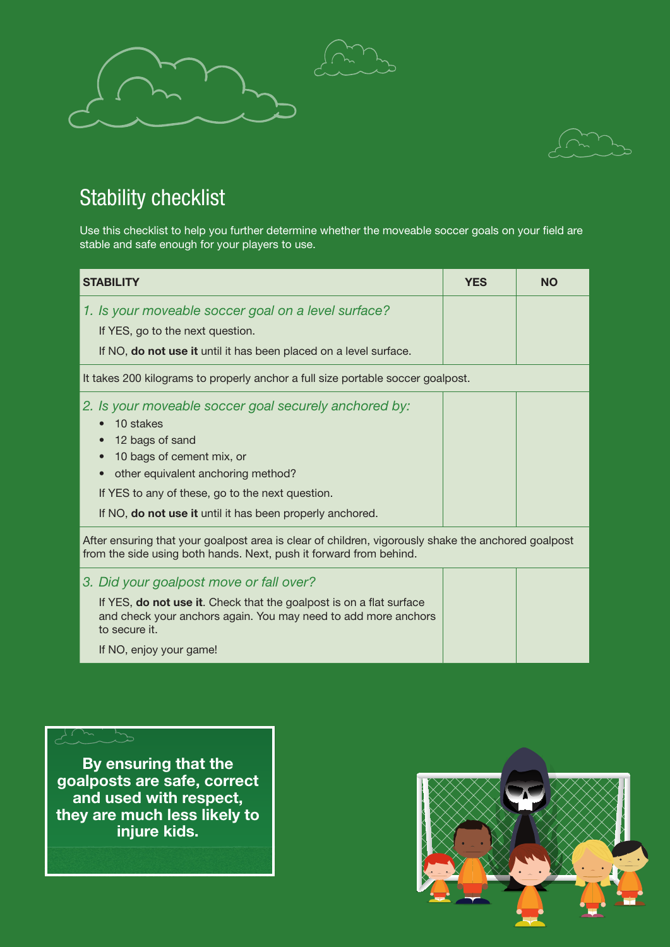



### Stability checklist

Use this checklist to help you further determine whether the moveable soccer goals on your field are stable and safe enough for your players to use.

| <b>STABILITY</b>                                                                                                                                                                                                                                                          | <b>YES</b> | <b>NO</b> |
|---------------------------------------------------------------------------------------------------------------------------------------------------------------------------------------------------------------------------------------------------------------------------|------------|-----------|
| 1. Is your moveable soccer goal on a level surface?<br>If YES, go to the next question.<br>If NO, do not use it until it has been placed on a level surface.                                                                                                              |            |           |
| It takes 200 kilograms to properly anchor a full size portable soccer goalpost.                                                                                                                                                                                           |            |           |
| 2. Is your moveable soccer goal securely anchored by:<br>10 stakes<br>12 bags of sand<br>10 bags of cement mix, or<br>other equivalent anchoring method?<br>If YES to any of these, go to the next question.<br>If NO, do not use it until it has been properly anchored. |            |           |
| After ensuring that your goalpost area is clear of children, vigorously shake the anchored goalpost<br>from the side using both hands. Next, push it forward from behind.                                                                                                 |            |           |
| 3. Did your goalpost move or fall over?<br>If YES, do not use it. Check that the goalpost is on a flat surface<br>and check your anchors again. You may need to add more anchors<br>to secure it.                                                                         |            |           |

If NO, enjoy your game!

 $\lambda$ 

By ensuring that the goalposts are safe, correct and used with respect, they are much less likely to injure kids.